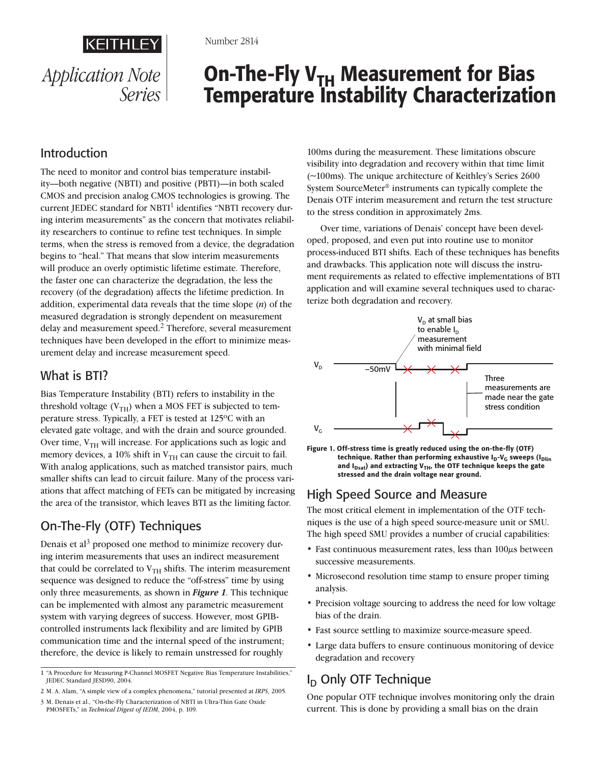

Number 2814

# On-The-Fly  $V_{TH}$  Measurement for Bias Temperature Instability Characterization

# Introduction

The need to monitor and control bias temperature instability—both negative (NBTI) and positive (PBTI)—in both scaled CMOS and precision analog CMOS technologies is growing. The current JEDEC standard for NBTI identifies "NBTI recovery during interim measurements" as the concern that motivates reliability researchers to continue to refine test techniques. In simple terms, when the stress is removed from a device, the degradation begins to "heal." That means that slow interim measurements will produce an overly optimistic lifetime estimate. Therefore, the faster one can characterize the degradation, the less the recovery (of the degradation) affects the lifetime prediction. In addition, experimental data reveals that the time slope (*n*) of the measured degradation is strongly dependent on measurement delay and measurement speed.<sup>2</sup> Therefore, several measurement techniques have been developed in the effort to minimize measurement delay and increase measurement speed.

### What is BTI?

Bias Temperature Instability (BTI) refers to instability in the threshold voltage  $(V_{TH})$  when a MOS FET is subjected to temperature stress. Typically, a FET is tested at 125ºC with an elevated gate voltage, and with the drain and source grounded. Over time,  $V_{TH}$  will increase. For applications such as logic and memory devices, a 10% shift in  $V_{TH}$  can cause the circuit to fail. With analog applications, such as matched transistor pairs, much smaller shifts can lead to circuit failure. Many of the process variations that affect matching of FETs can be mitigated by increasing the area of the transistor, which leaves BTI as the limiting factor.

# On-The-Fly (OTF) Techniques

Denais et al<sup>3</sup> proposed one method to minimize recovery during interim measurements that uses an indirect measurement that could be correlated to  $V<sub>TH</sub>$  shifts. The interim measurement sequence was designed to reduce the "off-stress" time by using only three measurements, as shown in *Figure 1*. This technique can be implemented with almost any parametric measurement system with varying degrees of success. However, most GPIBcontrolled instruments lack flexibility and are limited by GPIB communication time and the internal speed of the instrument; therefore, the device is likely to remain unstressed for roughly

- M. A. Alam, "A simple view of a complex phenomena," tutorial presented at *IRPS*, 2005.
- M. Denais et al., "On-the-Fly Characterization of NBTI in Ultra-Thin Gate Oxide PMOSFETs," in *Technical Digest of IEDM*, 2004, p. 109.

100ms during the measurement. These limitations obscure visibility into degradation and recovery within that time limit (~100ms). The unique architecture of Keithley's Series 2600 System SourceMeter® instruments can typically complete the Denais OTF interim measurement and return the test structure to the stress condition in approximately 2ms.

Over time, variations of Denais' concept have been developed, proposed, and even put into routine use to monitor process-induced BTI shifts. Each of these techniques has benefits and drawbacks. This application note will discuss the instrument requirements as related to effective implementations of BTI application and will examine several techniques used to characterize both degradation and recovery.



Figure 1. Off-stress time is greatly reduced using the on-the-fly (OTF) technique. Rather than performing exhaustive  $I_D-V_G$  sweeps ( $I_{Dlin}$ and  $I_{Dsat}$ ) and extracting V<sub>TH</sub>, the OTF technique keeps the gate stressed and the drain voltage near ground.

### High Speed Source and Measure

The most critical element in implementation of the OTF techniques is the use of a high speed source-measure unit or SMU. The high speed SMU provides a number of crucial capabilities:

- Fast continuous measurement rates, less than 100 $\mu$ s between successive measurements.
- Microsecond resolution time stamp to ensure proper timing analysis.
- Precision voltage sourcing to address the need for low voltage bias of the drain.
- Fast source settling to maximize source-measure speed.
- Large data buffers to ensure continuous monitoring of device degradation and recovery

# $I_D$  Only OTF Technique

One popular OTF technique involves monitoring only the drain current. This is done by providing a small bias on the drain

<sup>&</sup>quot;A Procedure for Measuring P-Channel MOSFET Negative Bias Temperature Instabilities," JEDEC Standard JESD90, 2004.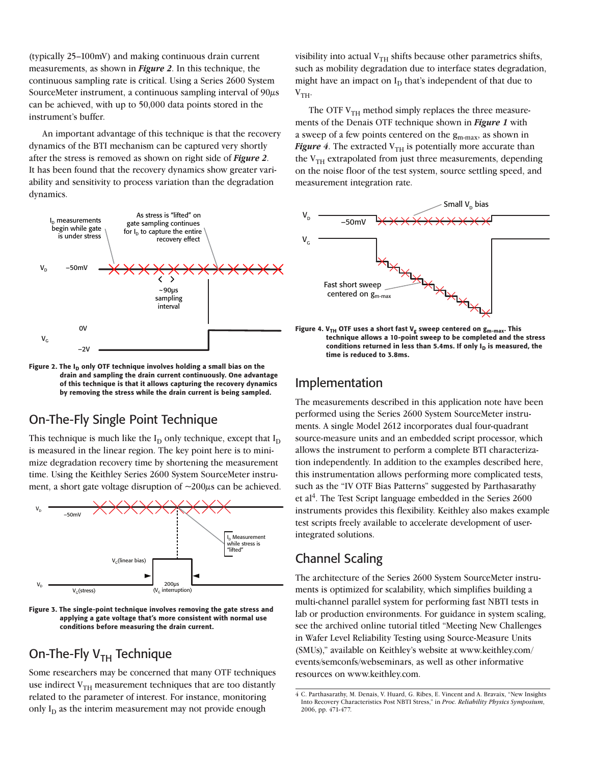(typically 25–100mV) and making continuous drain current measurements, as shown in *Figure 2*. In this technique, the continuous sampling rate is critical. Using a Series 2600 System SourceMeter instrument, a continuous sampling interval of  $90\mu s$ can be achieved, with up to 50,000 data points stored in the instrument's buffer.

An important advantage of this technique is that the recovery dynamics of the BTI mechanism can be captured very shortly after the stress is removed as shown on right side of *Figure 2*. It has been found that the recovery dynamics show greater variability and sensitivity to process variation than the degradation dynamics.



Figure 2. The  $I_D$  only OTF technique involves holding a small bias on the drain and sampling the drain current continuously. One advantage of this technique is that it allows capturing the recovery dynamics by removing the stress while the drain current is being sampled.

### On-The-Fly Single Point Technique

This technique is much like the  $I_D$  only technique, except that  $I_D$ is measured in the linear region. The key point here is to minimize degradation recovery time by shortening the measurement time. Using the Keithley Series 2600 System SourceMeter instrument, a short gate voltage disruption of  $\sim$ 200 $\mu$ s can be achieved.



Figure 3. The single-point technique involves removing the gate stress and applying a gate voltage that's more consistent with normal use conditions before measuring the drain current.

# On-The-Fly  $V<sub>TH</sub>$  Technique

Some researchers may be concerned that many OTF techniques use indirect  $V<sub>TH</sub>$  measurement techniques that are too distantly related to the parameter of interest. For instance, monitoring only  $I_D$  as the interim measurement may not provide enough

visibility into actual  $V<sub>TH</sub>$  shifts because other parametrics shifts, such as mobility degradation due to interface states degradation, might have an impact on  $I_D$  that's independent of that due to  $V<sub>TH</sub>$ .

The OTF  $V<sub>TH</sub>$  method simply replaces the three measurements of the Denais OTF technique shown in *Figure 1* with a sweep of a few points centered on the gm-max, as shown in *Figure 4*. The extracted  $V_{TH}$  is potentially more accurate than the  $V<sub>TH</sub>$  extrapolated from just three measurements, depending on the noise floor of the test system, source settling speed, and measurement integration rate.



Figure 4. V<sub>TH</sub> OTF uses a short fast V<sub>g</sub> sweep centered on  $g_{m-max}$ . This technique allows a 10-point sweep to be completed and the stress conditions returned in less than 5.4ms. If only  $I_D$  is measured, the time is reduced to 3.8ms.

### Implementation

The measurements described in this application note have been performed using the Series 2600 System SourceMeter instruments. A single Model 2612 incorporates dual four-quadrant source-measure units and an embedded script processor, which allows the instrument to perform a complete BTI characterization independently. In addition to the examples described here, this instrumentation allows performing more complicated tests, such as the "IV OTF Bias Patterns" suggested by Parthasarathy et al<sup>4</sup>. The Test Script language embedded in the Series  $2600$ instruments provides this flexibility. Keithley also makes example test scripts freely available to accelerate development of userintegrated solutions.

# Channel Scaling

The architecture of the Series 2600 System SourceMeter instruments is optimized for scalability, which simplifies building a multi-channel parallel system for performing fast NBTI tests in lab or production environments. For guidance in system scaling, see the archived online tutorial titled "Meeting New Challenges in Wafer Level Reliability Testing using Source-Measure Units (SMUs)," available on Keithley's website at www.keithley.com/ events/semconfs/webseminars, as well as other informative resources on www.keithley.com.

C. Parthasarathy, M. Denais, V. Huard, G. Ribes, E. Vincent and A. Bravaix, "New Insights Into Recovery Characteristics Post NBTI Stress," in *Proc. Reliability Physics Symposium*, 2006, pp. 471-477.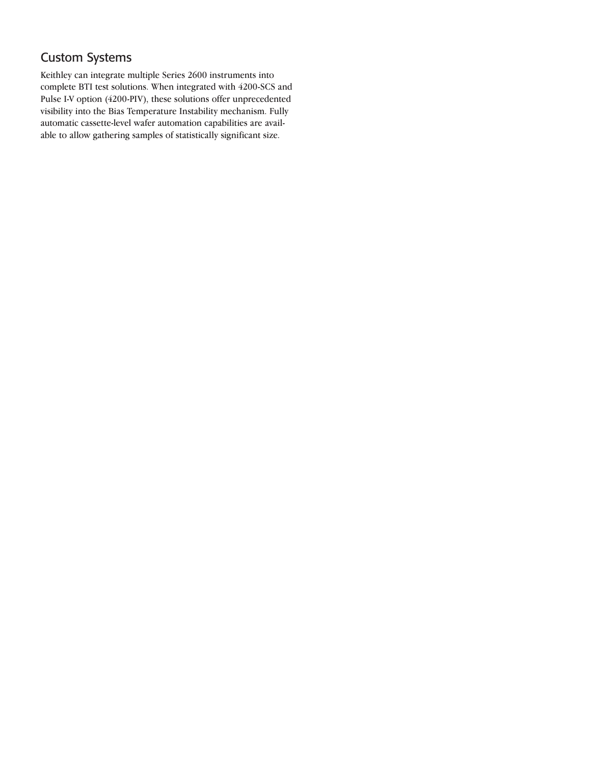### Custom Systems

Keithley can integrate multiple Series 2600 instruments into complete BTI test solutions. When integrated with 4200-SCS and Pulse I-V option (4200-PIV), these solutions offer unprecedented visibility into the Bias Temperature Instability mechanism. Fully automatic cassette-level wafer automation capabilities are available to allow gathering samples of statistically significant size.